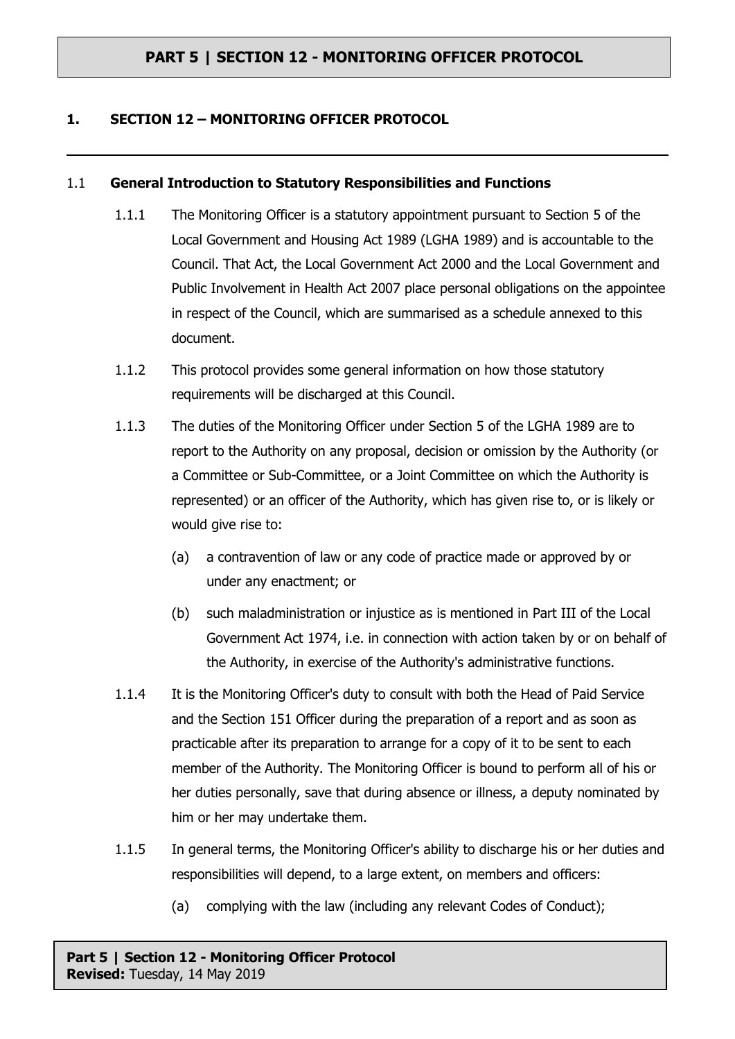#### **1. SECTION 12 – MONITORING OFFICER PROTOCOL**

#### 1.1 **General Introduction to Statutory Responsibilities and Functions**

- 1.1.1 The Monitoring Officer is a statutory appointment pursuant to Section 5 of the Local Government and Housing Act 1989 (LGHA 1989) and is accountable to the Council. That Act, the Local Government Act 2000 and the Local Government and Public Involvement in Health Act 2007 place personal obligations on the appointee in respect of the Council, which are summarised as a schedule annexed to this document.
- 1.1.2 This protocol provides some general information on how those statutory requirements will be discharged at this Council.
- 1.1.3 The duties of the Monitoring Officer under Section 5 of the LGHA 1989 are to report to the Authority on any proposal, decision or omission by the Authority (or a Committee or Sub-Committee, or a Joint Committee on which the Authority is represented) or an officer of the Authority, which has given rise to, or is likely or would give rise to:
	- (a) a contravention of law or any code of practice made or approved by or under any enactment; or
	- (b) such maladministration or injustice as is mentioned in Part III of the Local Government Act 1974, i.e. in connection with action taken by or on behalf of the Authority, in exercise of the Authority's administrative functions.
- 1.1.4 It is the Monitoring Officer's duty to consult with both the Head of Paid Service and the Section 151 Officer during the preparation of a report and as soon as practicable after its preparation to arrange for a copy of it to be sent to each member of the Authority. The Monitoring Officer is bound to perform all of his or her duties personally, save that during absence or illness, a deputy nominated by him or her may undertake them.
- 1.1.5 In general terms, the Monitoring Officer's ability to discharge his or her duties and responsibilities will depend, to a large extent, on members and officers:
	- (a) complying with the law (including any relevant Codes of Conduct);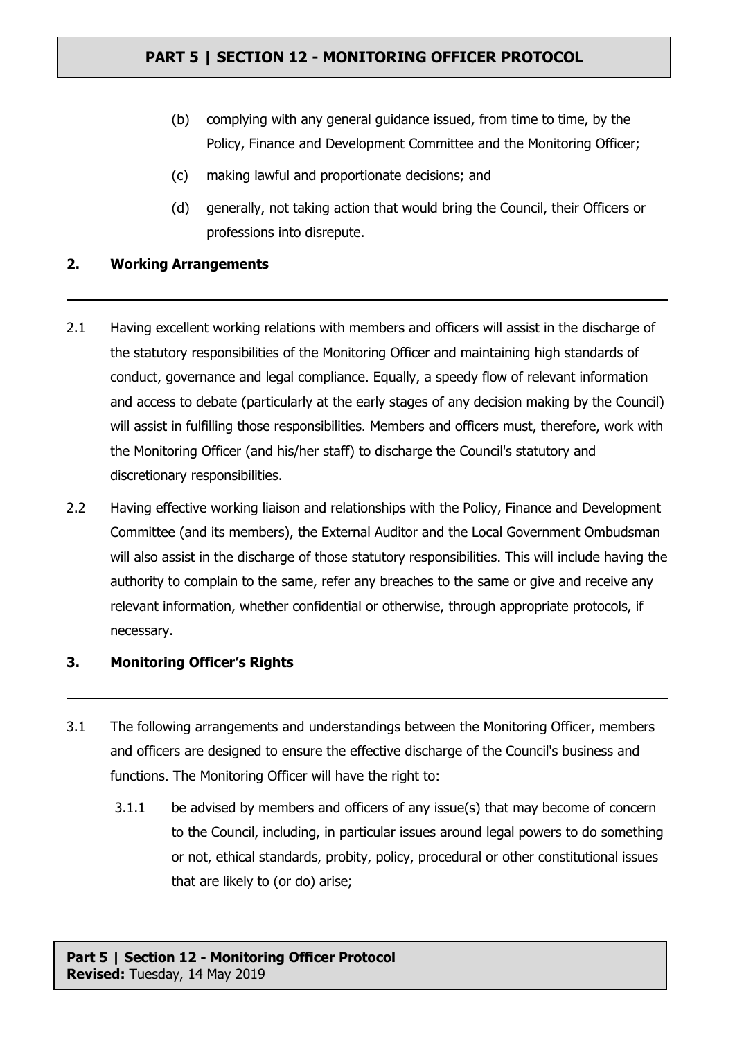- (b) complying with any general guidance issued, from time to time, by the Policy, Finance and Development Committee and the Monitoring Officer;
- (c) making lawful and proportionate decisions; and
- (d) generally, not taking action that would bring the Council, their Officers or professions into disrepute.

#### **2. Working Arrangements**

- 2.1 Having excellent working relations with members and officers will assist in the discharge of the statutory responsibilities of the Monitoring Officer and maintaining high standards of conduct, governance and legal compliance. Equally, a speedy flow of relevant information and access to debate (particularly at the early stages of any decision making by the Council) will assist in fulfilling those responsibilities. Members and officers must, therefore, work with the Monitoring Officer (and his/her staff) to discharge the Council's statutory and discretionary responsibilities.
- 2.2 Having effective working liaison and relationships with the Policy, Finance and Development Committee (and its members), the External Auditor and the Local Government Ombudsman will also assist in the discharge of those statutory responsibilities. This will include having the authority to complain to the same, refer any breaches to the same or give and receive any relevant information, whether confidential or otherwise, through appropriate protocols, if necessary.

#### **3. Monitoring Officer's Rights**

- 3.1 The following arrangements and understandings between the Monitoring Officer, members and officers are designed to ensure the effective discharge of the Council's business and functions. The Monitoring Officer will have the right to:
	- 3.1.1 be advised by members and officers of any issue(s) that may become of concern to the Council, including, in particular issues around legal powers to do something or not, ethical standards, probity, policy, procedural or other constitutional issues that are likely to (or do) arise;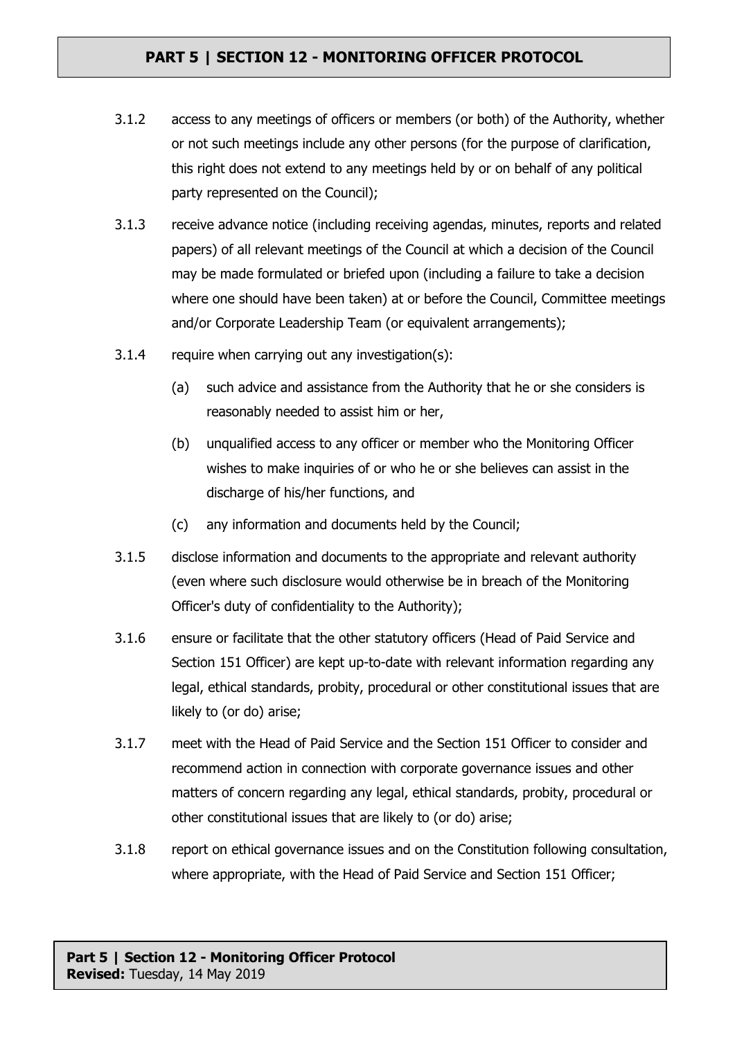- 3.1.2 access to any meetings of officers or members (or both) of the Authority, whether or not such meetings include any other persons (for the purpose of clarification, this right does not extend to any meetings held by or on behalf of any political party represented on the Council);
- 3.1.3 receive advance notice (including receiving agendas, minutes, reports and related papers) of all relevant meetings of the Council at which a decision of the Council may be made formulated or briefed upon (including a failure to take a decision where one should have been taken) at or before the Council, Committee meetings and/or Corporate Leadership Team (or equivalent arrangements);
- 3.1.4 require when carrying out any investigation(s):
	- (a) such advice and assistance from the Authority that he or she considers is reasonably needed to assist him or her,
	- (b) unqualified access to any officer or member who the Monitoring Officer wishes to make inquiries of or who he or she believes can assist in the discharge of his/her functions, and
	- (c) any information and documents held by the Council;
- 3.1.5 disclose information and documents to the appropriate and relevant authority (even where such disclosure would otherwise be in breach of the Monitoring Officer's duty of confidentiality to the Authority);
- 3.1.6 ensure or facilitate that the other statutory officers (Head of Paid Service and Section 151 Officer) are kept up-to-date with relevant information regarding any legal, ethical standards, probity, procedural or other constitutional issues that are likely to (or do) arise;
- 3.1.7 meet with the Head of Paid Service and the Section 151 Officer to consider and recommend action in connection with corporate governance issues and other matters of concern regarding any legal, ethical standards, probity, procedural or other constitutional issues that are likely to (or do) arise;
- 3.1.8 report on ethical governance issues and on the Constitution following consultation, where appropriate, with the Head of Paid Service and Section 151 Officer;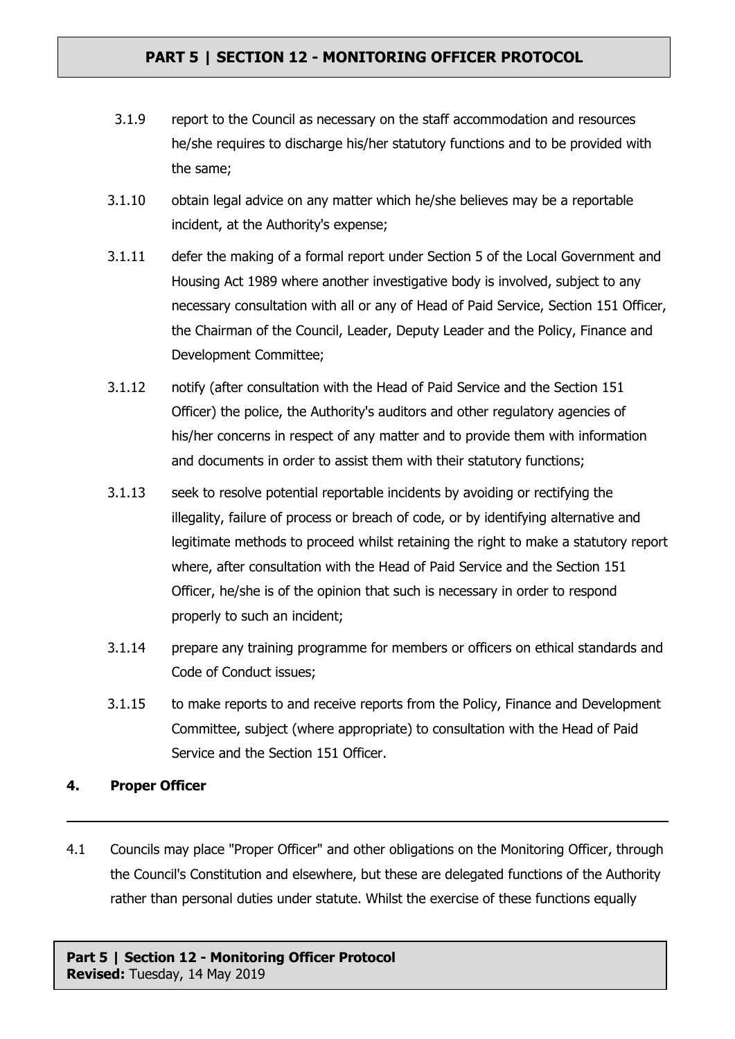- 3.1.9 report to the Council as necessary on the staff accommodation and resources he/she requires to discharge his/her statutory functions and to be provided with the same;
- 3.1.10 obtain legal advice on any matter which he/she believes may be a reportable incident, at the Authority's expense;
- 3.1.11 defer the making of a formal report under Section 5 of the Local Government and Housing Act 1989 where another investigative body is involved, subject to any necessary consultation with all or any of Head of Paid Service, Section 151 Officer, the Chairman of the Council, Leader, Deputy Leader and the Policy, Finance and Development Committee;
- 3.1.12 notify (after consultation with the Head of Paid Service and the Section 151 Officer) the police, the Authority's auditors and other regulatory agencies of his/her concerns in respect of any matter and to provide them with information and documents in order to assist them with their statutory functions;
- 3.1.13 seek to resolve potential reportable incidents by avoiding or rectifying the illegality, failure of process or breach of code, or by identifying alternative and legitimate methods to proceed whilst retaining the right to make a statutory report where, after consultation with the Head of Paid Service and the Section 151 Officer, he/she is of the opinion that such is necessary in order to respond properly to such an incident;
- 3.1.14 prepare any training programme for members or officers on ethical standards and Code of Conduct issues;
- 3.1.15 to make reports to and receive reports from the Policy, Finance and Development Committee, subject (where appropriate) to consultation with the Head of Paid Service and the Section 151 Officer.

#### **4. Proper Officer**

4.1 Councils may place "Proper Officer" and other obligations on the Monitoring Officer, through the Council's Constitution and elsewhere, but these are delegated functions of the Authority rather than personal duties under statute. Whilst the exercise of these functions equally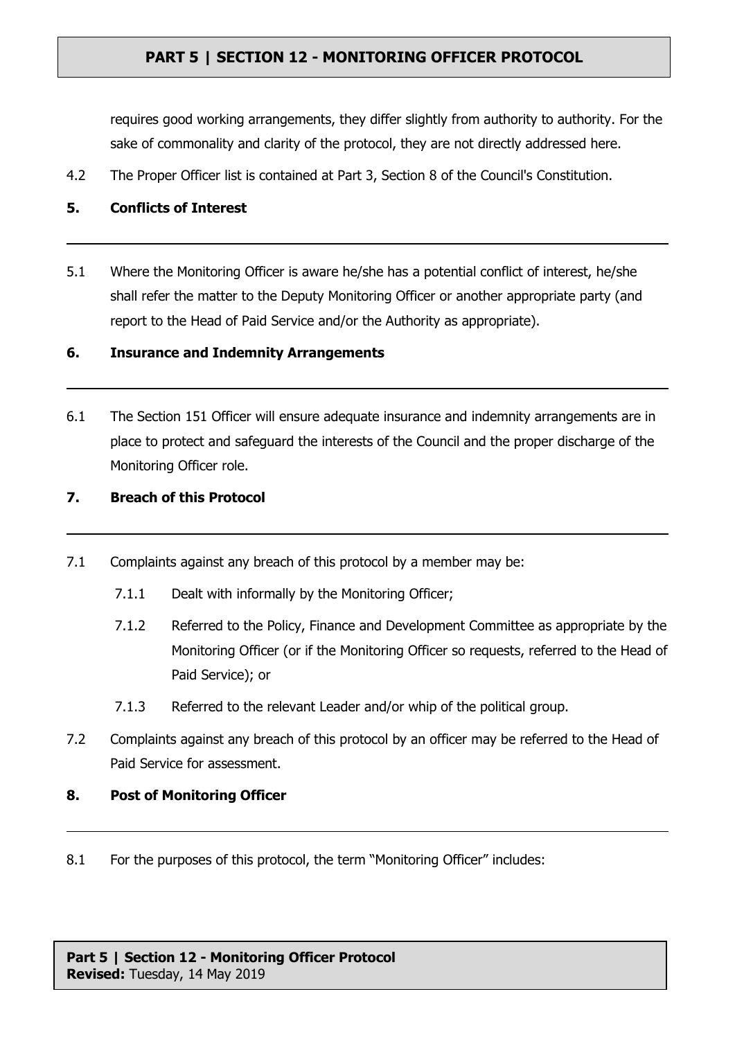requires good working arrangements, they differ slightly from authority to authority. For the sake of commonality and clarity of the protocol, they are not directly addressed here.

- 4.2 The Proper Officer list is contained at Part 3, Section 8 of the Council's Constitution.
- **5. Conflicts of Interest**
- 5.1 Where the Monitoring Officer is aware he/she has a potential conflict of interest, he/she shall refer the matter to the Deputy Monitoring Officer or another appropriate party (and report to the Head of Paid Service and/or the Authority as appropriate).

#### **6. Insurance and Indemnity Arrangements**

- 6.1 The Section 151 Officer will ensure adequate insurance and indemnity arrangements are in place to protect and safeguard the interests of the Council and the proper discharge of the Monitoring Officer role.
- **7. Breach of this Protocol**
- 7.1 Complaints against any breach of this protocol by a member may be:
	- 7.1.1 Dealt with informally by the Monitoring Officer;
	- 7.1.2 Referred to the Policy, Finance and Development Committee as appropriate by the Monitoring Officer (or if the Monitoring Officer so requests, referred to the Head of Paid Service); or
	- 7.1.3 Referred to the relevant Leader and/or whip of the political group.
- 7.2 Complaints against any breach of this protocol by an officer may be referred to the Head of Paid Service for assessment.
- **8. Post of Monitoring Officer**
- 8.1 For the purposes of this protocol, the term "Monitoring Officer" includes: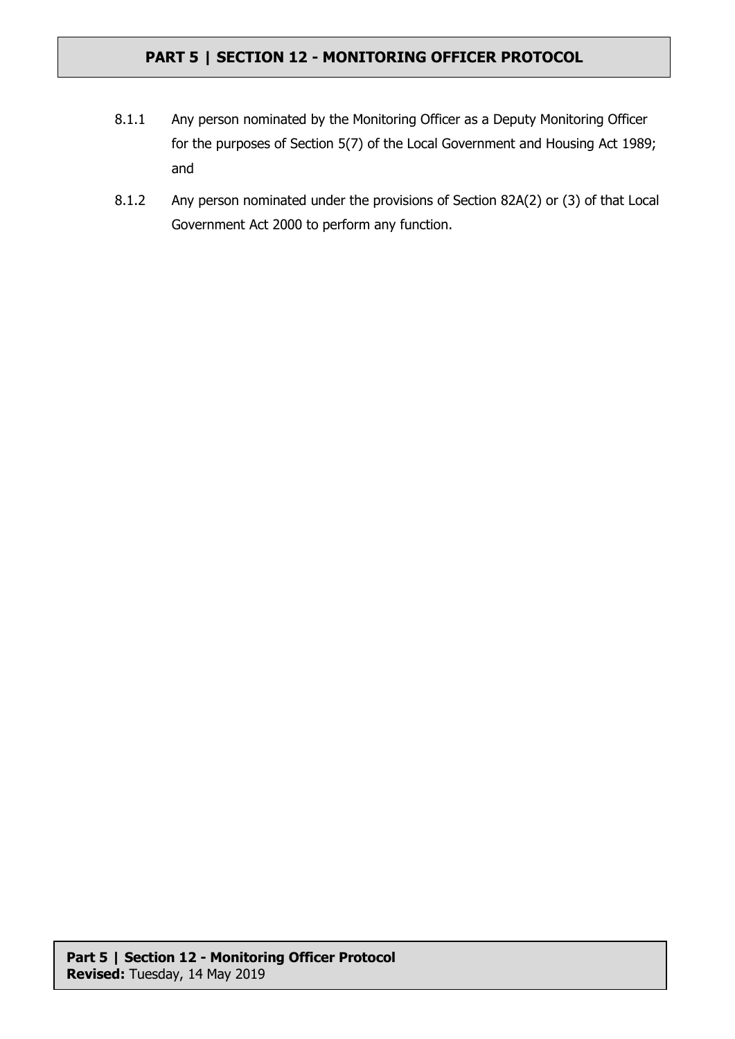- 8.1.1 Any person nominated by the Monitoring Officer as a Deputy Monitoring Officer for the purposes of Section 5(7) of the Local Government and Housing Act 1989; and
- 8.1.2 Any person nominated under the provisions of Section 82A(2) or (3) of that Local Government Act 2000 to perform any function.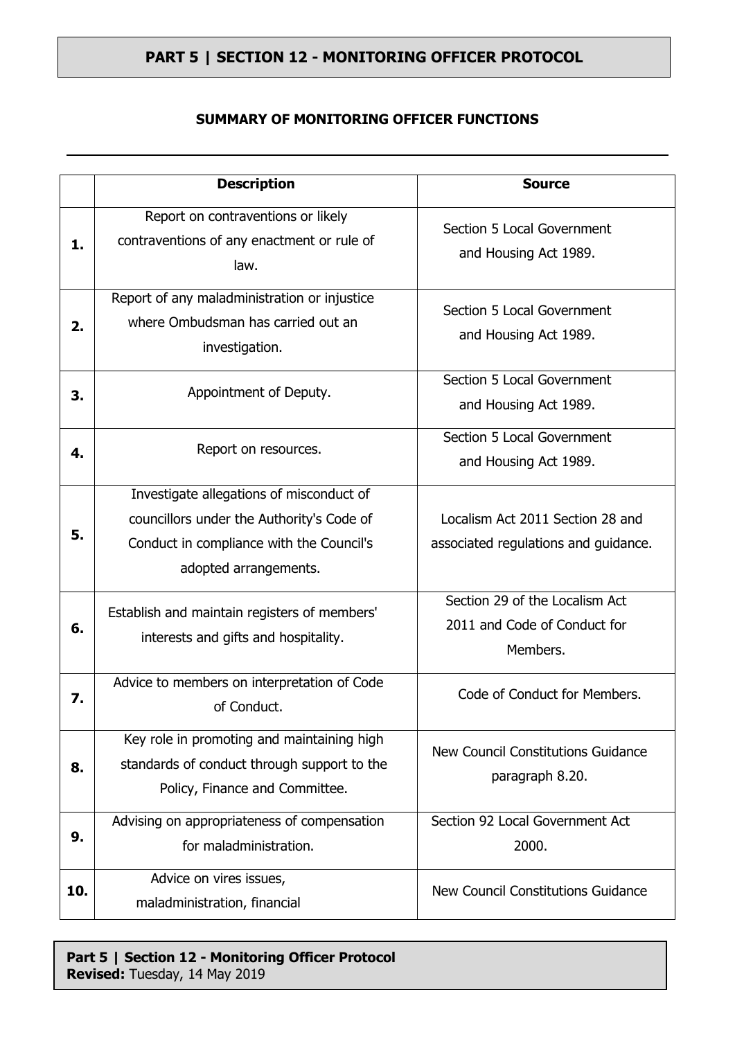#### **SUMMARY OF MONITORING OFFICER FUNCTIONS**

|     | <b>Description</b>                                                                                                                                         |                                                                            |
|-----|------------------------------------------------------------------------------------------------------------------------------------------------------------|----------------------------------------------------------------------------|
|     |                                                                                                                                                            | <b>Source</b>                                                              |
| 1.  | Report on contraventions or likely<br>contraventions of any enactment or rule of<br>law.                                                                   | Section 5 Local Government<br>and Housing Act 1989.                        |
| 2.  | Report of any maladministration or injustice<br>where Ombudsman has carried out an<br>investigation.                                                       | Section 5 Local Government<br>and Housing Act 1989.                        |
| З.  | Appointment of Deputy.                                                                                                                                     | Section 5 Local Government<br>and Housing Act 1989.                        |
| 4.  | Report on resources.                                                                                                                                       | Section 5 Local Government<br>and Housing Act 1989.                        |
| 5.  | Investigate allegations of misconduct of<br>councillors under the Authority's Code of<br>Conduct in compliance with the Council's<br>adopted arrangements. | Localism Act 2011 Section 28 and<br>associated regulations and guidance.   |
| 6.  | Establish and maintain registers of members'<br>interests and gifts and hospitality.                                                                       | Section 29 of the Localism Act<br>2011 and Code of Conduct for<br>Members. |
| 7.  | Advice to members on interpretation of Code<br>of Conduct.                                                                                                 | Code of Conduct for Members.                                               |
| 8.  | Key role in promoting and maintaining high<br>standards of conduct through support to the<br>Policy, Finance and Committee.                                | New Council Constitutions Guidance<br>paragraph 8.20.                      |
| 9.  | Advising on appropriateness of compensation<br>for maladministration.                                                                                      | Section 92 Local Government Act<br>2000.                                   |
| 10. | Advice on vires issues,<br>maladministration, financial                                                                                                    | New Council Constitutions Guidance                                         |

### **Part 5 | Section 12 - Monitoring Officer Protocol Revised:** Tuesday, 14 May 2019